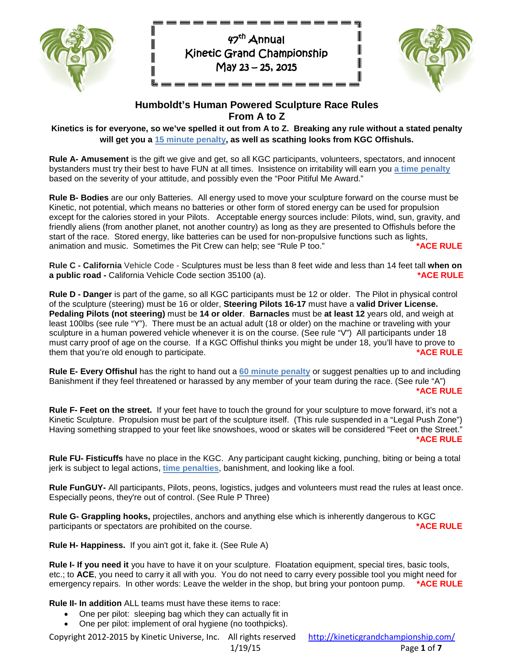

 $\parallel$ 

 $\overline{\mathbf{u}}$ 

 $\blacksquare$ Щ

 $47<sup>th</sup>$  Annual Kinetic Grand Championship May 23 – 25, 2015  $\overline{a}$ 



║

 $\mathsf{I}\mathsf{I}\mathsf{I}$ 

# **Humboldt's Human Powered Sculpture Race Rules From A to Z**

**Kinetics is for everyone, so we've spelled it out from A to Z. Breaking any rule without a stated penalty will get you a 15 minute penalty, as well as scathing looks from KGC Offishuls.**

**Rule A- Amusement** is the gift we give and get, so all KGC participants, volunteers, spectators, and innocent bystanders must try their best to have FUN at all times. Insistence on irritability will earn you **a time penalty** based on the severity of your attitude, and possibly even the "Poor Pitiful Me Award."

**Rule B- Bodies** are our only Batteries. All energy used to move your sculpture forward on the course must be Kinetic, not potential, which means no batteries or other form of stored energy can be used for propulsion except for the calories stored in your Pilots. Acceptable energy sources include: Pilots, wind, sun, gravity, and friendly aliens (from another planet, not another country) as long as they are presented to Offishuls before the start of the race. Stored energy, like batteries can be used for non-propulsive functions such as lights, animation and music. Sometimes the Pit Crew can help; see "Rule P too." **\*ACE RULE**

**Rule C - California** Vehicle Code - Sculptures must be less than 8 feet wide and less than 14 feet tall **when on a public road -** California Vehicle Code section 35100 (a). **ACE RULE \*ACE RULE** 

**Rule D - Danger** is part of the game, so all KGC participants must be 12 or older. The Pilot in physical control of the sculpture (steering) must be 16 or older, **Steering Pilots 16-17** must have a **valid Driver License. Pedaling Pilots (not steering)** must be **14 or older**. **Barnacles** must be **at least 12** years old, and weigh at least 100lbs (see rule "Y"). There must be an actual adult (18 or older) on the machine or traveling with your sculpture in a human powered vehicle whenever it is on the course. (See rule "V") All participants under 18 must carry proof of age on the course. If a KGC Offishul thinks you might be under 18, you'll have to prove to them that you're old enough to participate. **\*ACE RULE**

**Rule E- Every Offishul** has the right to hand out a **60 minute penalty** or suggest penalties up to and including Banishment if they feel threatened or harassed by any member of your team during the race. (See rule "A")  **\*ACE RULE**

**Rule F- Feet on the street.** If your feet have to touch the ground for your sculpture to move forward, it's not a Kinetic Sculpture. Propulsion must be part of the sculpture itself. (This rule suspended in a "Legal Push Zone") Having something strapped to your feet like snowshoes, wood or skates will be considered "Feet on the Street."  **\*ACE RULE**

**Rule FU- Fisticuffs** have no place in the KGC. Any participant caught kicking, punching, biting or being a total jerk is subject to legal actions**, time penalties**, banishment, and looking like a fool.

**Rule FunGUY-** All participants, Pilots, peons, logistics, judges and volunteers must read the rules at least once. Especially peons, they're out of control. (See Rule P Three)

**Rule G- Grappling hooks,** projectiles, anchors and anything else which is inherently dangerous to KGC<br>participants or spectators are prohibited on the course. participants or spectators are prohibited on the course.

**Rule H- Happiness.** If you ain't got it, fake it. (See Rule A)

**Rule I- If you need it** you have to have it on your sculpture. Floatation equipment, special tires, basic tools, etc.; to **ACE**, you need to carry it all with you. You do not need to carry every possible tool you might need for emergency repairs. In other words: Leave the welder in the shop, but bring your pontoon pump. **\*ACE RULE**

**Rule II- In addition** ALL teams must have these items to race:

- One per pilot: sleeping bag which they can actually fit in
- One per pilot: implement of oral hygiene (no toothpicks).

Copyright 2012-2015 by Kinetic Universe, Inc. All rights reserved <http://kineticgrandchampionship.com/> 1/19/15 Page **1** of **7**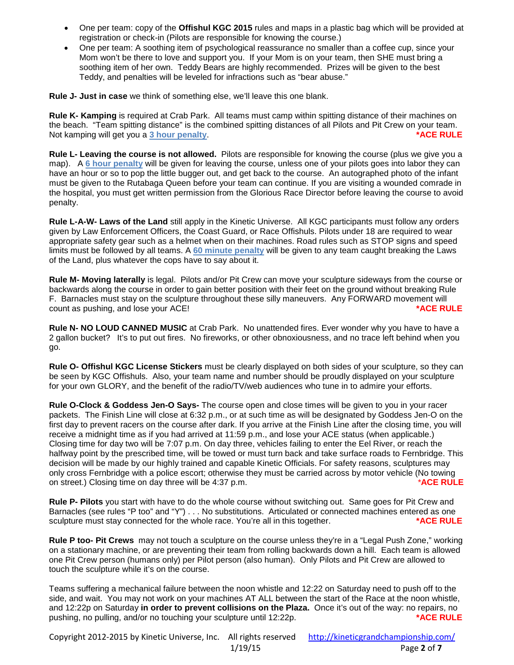- One per team: copy of the **Offishul KGC 2015** rules and maps in a plastic bag which will be provided at registration or check-in (Pilots are responsible for knowing the course.)
- One per team: A soothing item of psychological reassurance no smaller than a coffee cup, since your Mom won't be there to love and support you. If your Mom is on your team, then SHE must bring a soothing item of her own. Teddy Bears are highly recommended. Prizes will be given to the best Teddy, and penalties will be leveled for infractions such as "bear abuse."

**Rule J- Just in case** we think of something else, we'll leave this one blank.

**Rule K- Kamping** is required at Crab Park. All teams must camp within spitting distance of their machines on the beach. "Team spitting distance" is the combined spitting distances of all Pilots and Pit Crew on your team. Not kamping will get you a 3 hour penalty. **ACCE RULE \*ACE RULE \*ACE RULE** 

**Rule L- Leaving the course is not allowed.** Pilots are responsible for knowing the course (plus we give you a map). A **6 hour penalty** will be given for leaving the course, unless one of your pilots goes into labor they can have an hour or so to pop the little bugger out, and get back to the course. An autographed photo of the infant must be given to the Rutabaga Queen before your team can continue. If you are visiting a wounded comrade in the hospital, you must get written permission from the Glorious Race Director before leaving the course to avoid penalty.

**Rule L-A-W- Laws of the Land** still apply in the Kinetic Universe. All KGC participants must follow any orders given by Law Enforcement Officers, the Coast Guard, or Race Offishuls. Pilots under 18 are required to wear appropriate safety gear such as a helmet when on their machines. Road rules such as STOP signs and speed limits must be followed by all teams. A **60 minute penalty** will be given to any team caught breaking the Laws of the Land, plus whatever the cops have to say about it.

**Rule M- Moving laterally** is legal. Pilots and/or Pit Crew can move your sculpture sideways from the course or backwards along the course in order to gain better position with their feet on the ground without breaking Rule F. Barnacles must stay on the sculpture throughout these silly maneuvers. Any FORWARD movement will count as pushing, and lose your ACE! **\*ACE RULE**

**Rule N- NO LOUD CANNED MUSIC** at Crab Park. No unattended fires. Ever wonder why you have to have a 2 gallon bucket? It's to put out fires. No fireworks, or other obnoxiousness, and no trace left behind when you go.

**Rule O- Offishul KGC License Stickers** must be clearly displayed on both sides of your sculpture, so they can be seen by KGC Offishuls. Also, your team name and number should be proudly displayed on your sculpture for your own GLORY, and the benefit of the radio/TV/web audiences who tune in to admire your efforts.

**Rule O-Clock & Goddess Jen-O Says-** The course open and close times will be given to you in your racer packets. The Finish Line will close at 6:32 p.m., or at such time as will be designated by Goddess Jen-O on the first day to prevent racers on the course after dark. If you arrive at the Finish Line after the closing time, you will receive a midnight time as if you had arrived at 11:59 p.m., and lose your ACE status (when applicable.) Closing time for day two will be 7:07 p.m. On day three, vehicles failing to enter the Eel River, or reach the halfway point by the prescribed time, will be towed or must turn back and take surface roads to Fernbridge. This decision will be made by our highly trained and capable Kinetic Officials. For safety reasons, sculptures may only cross Fernbridge with a police escort; otherwise they must be carried across by motor vehicle (No towing on street.) Closing time on day three will be 4:37 p.m. *\****ACE RULE**

**Rule P- Pilots** you start with have to do the whole course without switching out. Same goes for Pit Crew and Barnacles (see rules "P too" and "Y") . . . No substitutions. Articulated or connected machines entered as one sculpture must stay connected for the whole race. You're all in this together. **\*\*\*\*\*\*\*\*\*\*\*\*\*\*\*\*\*\*\*\*\*\*\*\*\*\*\*\*\*\*\*\*\***\*\*

**Rule P too- Pit Crews** may not touch a sculpture on the course unless they're in a "Legal Push Zone," working on a stationary machine, or are preventing their team from rolling backwards down a hill. Each team is allowed one Pit Crew person (humans only) per Pilot person (also human). Only Pilots and Pit Crew are allowed to touch the sculpture while it's on the course.

Teams suffering a mechanical failure between the noon whistle and 12:22 on Saturday need to push off to the side, and wait. You may not work on your machines AT ALL between the start of the Race at the noon whistle, and 12:22p on Saturday **in order to prevent collisions on the Plaza.** Once it's out of the way: no repairs, no pushing, no pulling, and/or no touching your sculpture until 12:22p. **\*ACE RULE**

Copyright 2012-2015 by Kinetic Universe, Inc. All rights reserved <http://kineticgrandchampionship.com/> 1/19/15 Page **2** of **7**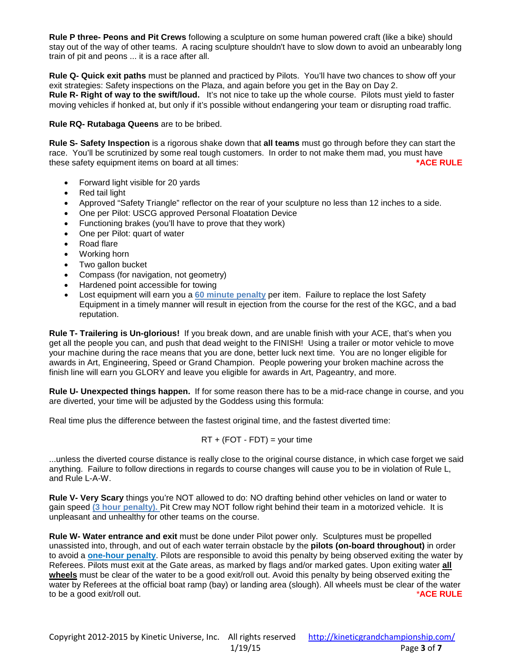**Rule P three- Peons and Pit Crews** following a sculpture on some human powered craft (like a bike) should stay out of the way of other teams. A racing sculpture shouldn't have to slow down to avoid an unbearably long train of pit and peons ... it is a race after all.

**Rule Q- Quick exit paths** must be planned and practiced by Pilots. You'll have two chances to show off your exit strategies: Safety inspections on the Plaza, and again before you get in the Bay on Day 2. **Rule R- Right of way to the swift/loud.** It's not nice to take up the whole course. Pilots must yield to faster moving vehicles if honked at, but only if it's possible without endangering your team or disrupting road traffic.

**Rule RQ- Rutabaga Queens** are to be bribed.

**Rule S- Safety Inspection** is a rigorous shake down that **all teams** must go through before they can start the race. You'll be scrutinized by some real tough customers. In order to not make them mad, you must have these safety equipment items on board at all times: **\*ACE RULE**

- Forward light visible for 20 yards
- Red tail light
- Approved "Safety Triangle" reflector on the rear of your sculpture no less than 12 inches to a side.
- One per Pilot: USCG approved Personal Floatation Device
- Functioning brakes (you'll have to prove that they work)
- One per Pilot: quart of water
- Road flare
- Working horn
- Two gallon bucket
- Compass (for navigation, not geometry)
- Hardened point accessible for towing
- Lost equipment will earn you a **60 minute penalty** per item. Failure to replace the lost Safety Equipment in a timely manner will result in ejection from the course for the rest of the KGC, and a bad reputation.

**Rule T- Trailering is Un-glorious!** If you break down, and are unable finish with your ACE, that's when you get all the people you can, and push that dead weight to the FINISH! Using a trailer or motor vehicle to move your machine during the race means that you are done, better luck next time. You are no longer eligible for awards in Art, Engineering, Speed or Grand Champion. People powering your broken machine across the finish line will earn you GLORY and leave you eligible for awards in Art, Pageantry, and more.

**Rule U- Unexpected things happen.** If for some reason there has to be a mid-race change in course, and you are diverted, your time will be adjusted by the Goddess using this formula:

Real time plus the difference between the fastest original time, and the fastest diverted time:

$$
RT + (FOT - FDT) = your time
$$

...unless the diverted course distance is really close to the original course distance, in which case forget we said anything. Failure to follow directions in regards to course changes will cause you to be in violation of Rule L, and Rule L-A-W.

**Rule V- Very Scary** things you're NOT allowed to do: NO drafting behind other vehicles on land or water to gain speed **(3 hour penalty).** Pit Crew may NOT follow right behind their team in a motorized vehicle. It is unpleasant and unhealthy for other teams on the course.

**Rule W- Water entrance and exit** must be done under Pilot power only. Sculptures must be propelled unassisted into, through, and out of each water terrain obstacle by the **pilots (on-board throughout)** in order to avoid a **one-hour penalty**. Pilots are responsible to avoid this penalty by being observed exiting the water by Referees. Pilots must exit at the Gate areas, as marked by flags and/or marked gates. Upon exiting water **all wheels** must be clear of the water to be a good exit/roll out. Avoid this penalty by being observed exiting the water by Referees at the official boat ramp (bay) or landing area (slough). All wheels must be clear of the water to be a good exit/roll out. *\****ACE RULE**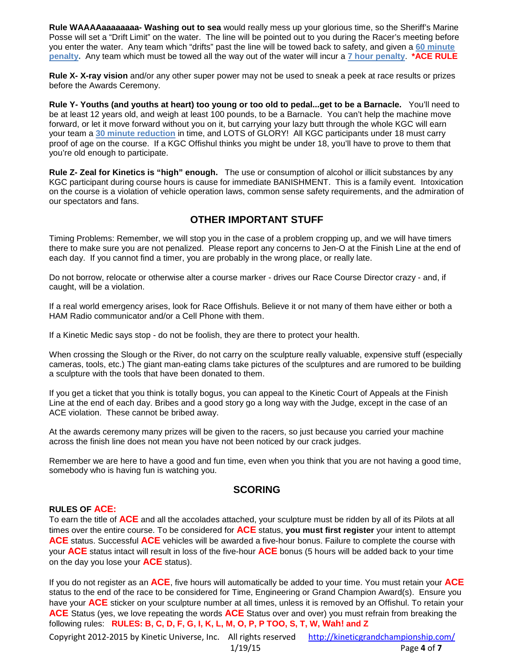**Rule WAAAAaaaaaaaa- Washing out to sea** would really mess up your glorious time, so the Sheriff's Marine Posse will set a "Drift Limit" on the water. The line will be pointed out to you during the Racer's meeting before you enter the water. Any team which "drifts" past the line will be towed back to safety, and given a **60 minute penalty.** Any team which must be towed all the way out of the water will incur a **7 hour penalty**. **\*ACE RULE**

**Rule X- X-ray vision** and/or any other super power may not be used to sneak a peek at race results or prizes before the Awards Ceremony.

**Rule Y- Youths (and youths at heart) too young or too old to pedal...get to be a Barnacle.** You'll need to be at least 12 years old, and weigh at least 100 pounds, to be a Barnacle. You can't help the machine move forward, or let it move forward without you on it, but carrying your lazy butt through the whole KGC will earn your team a **30 minute reduction** in time, and LOTS of GLORY! All KGC participants under 18 must carry proof of age on the course. If a KGC Offishul thinks you might be under 18, you'll have to prove to them that you're old enough to participate.

**Rule Z- Zeal for Kinetics is "high" enough.** The use or consumption of alcohol or illicit substances by any KGC participant during course hours is cause for immediate BANISHMENT. This is a family event. Intoxication on the course is a violation of vehicle operation laws, common sense safety requirements, and the admiration of our spectators and fans.

# **OTHER IMPORTANT STUFF**

Timing Problems: Remember, we will stop you in the case of a problem cropping up, and we will have timers there to make sure you are not penalized. Please report any concerns to Jen-O at the Finish Line at the end of each day. If you cannot find a timer, you are probably in the wrong place, or really late.

Do not borrow, relocate or otherwise alter a course marker - drives our Race Course Director crazy - and, if caught, will be a violation.

If a real world emergency arises, look for Race Offishuls. Believe it or not many of them have either or both a HAM Radio communicator and/or a Cell Phone with them.

If a Kinetic Medic says stop - do not be foolish, they are there to protect your health.

When crossing the Slough or the River, do not carry on the sculpture really valuable, expensive stuff (especially cameras, tools, etc.) The giant man-eating clams take pictures of the sculptures and are rumored to be building a sculpture with the tools that have been donated to them.

If you get a ticket that you think is totally bogus, you can appeal to the Kinetic Court of Appeals at the Finish Line at the end of each day. Bribes and a good story go a long way with the Judge, except in the case of an ACE violation. These cannot be bribed away.

At the awards ceremony many prizes will be given to the racers, so just because you carried your machine across the finish line does not mean you have not been noticed by our crack judges.

Remember we are here to have a good and fun time, even when you think that you are not having a good time, somebody who is having fun is watching you.

# **SCORING**

#### **RULES OF ACE:**

To earn the title of **ACE** and all the accolades attached, your sculpture must be ridden by all of its Pilots at all times over the entire course. To be considered for **ACE** status, **you must first register** your intent to attempt **ACE** status. Successful **ACE** vehicles will be awarded a five-hour bonus. Failure to complete the course with your **ACE** status intact will result in loss of the five-hour **ACE** bonus (5 hours will be added back to your time on the day you lose your **ACE** status).

If you do not register as an **ACE**, five hours will automatically be added to your time. You must retain your **ACE** status to the end of the race to be considered for Time, Engineering or Grand Champion Award(s). Ensure you have your **ACE** sticker on your sculpture number at all times, unless it is removed by an Offishul. To retain your **ACE** Status (yes, we love repeating the words **ACE** Status over and over) you must refrain from breaking the following rules: **RULES: B, C, D, F, G, I, K, L, M, O, P, P TOO, S, T, W, Wah! and Z**

Copyright 2012-2015 by Kinetic Universe, Inc. All rights reserved <http://kineticgrandchampionship.com/> 1/19/15 Page **4** of **7**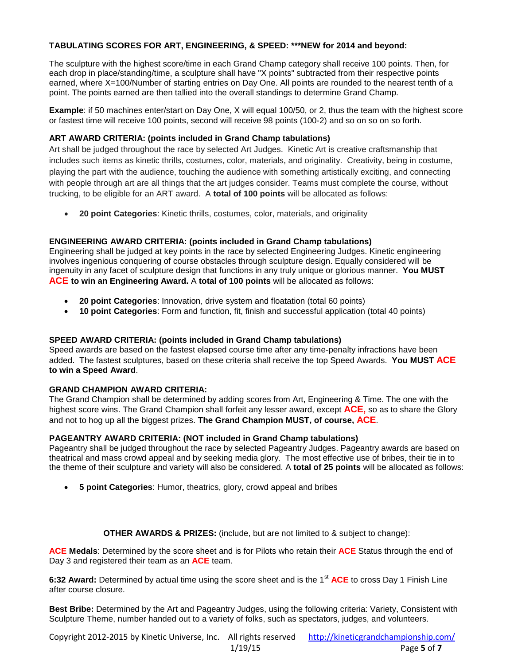# **TABULATING SCORES FOR ART, ENGINEERING, & SPEED: \*\*\*NEW for 2014 and beyond:**

The sculpture with the highest score/time in each Grand Champ category shall receive 100 points. Then, for each drop in place/standing/time, a sculpture shall have "X points" subtracted from their respective points earned, where X=100/Number of starting entries on Day One. All points are rounded to the nearest tenth of a point. The points earned are then tallied into the overall standings to determine Grand Champ.

**Example**: if 50 machines enter/start on Day One, X will equal 100/50, or 2, thus the team with the highest score or fastest time will receive 100 points, second will receive 98 points (100-2) and so on so on so forth.

## **ART AWARD CRITERIA: (points included in Grand Champ tabulations)**

Art shall be judged throughout the race by selected Art Judges. Kinetic Art is creative craftsmanship that includes such items as kinetic thrills, costumes, color, materials, and originality. Creativity, being in costume, playing the part with the audience, touching the audience with something artistically exciting, and connecting with people through art are all things that the art judges consider. Teams must complete the course, without trucking, to be eligible for an ART award. A **total of 100 points** will be allocated as follows:

• **20 point Categories**: Kinetic thrills, costumes, color, materials, and originality

# **ENGINEERING AWARD CRITERIA: (points included in Grand Champ tabulations)**

Engineering shall be judged at key points in the race by selected Engineering Judges. Kinetic engineering involves ingenious conquering of course obstacles through sculpture design. Equally considered will be ingenuity in any facet of sculpture design that functions in any truly unique or glorious manner. **You MUST ACE to win an Engineering Award.** A **total of 100 points** will be allocated as follows:

- **20 point Categories**: Innovation, drive system and floatation (total 60 points)
- **10 point Categories**: Form and function, fit, finish and successful application (total 40 points)

## **SPEED AWARD CRITERIA: (points included in Grand Champ tabulations)**

Speed awards are based on the fastest elapsed course time after any time-penalty infractions have been added. The fastest sculptures, based on these criteria shall receive the top Speed Awards. **You MUST ACE to win a Speed Award**.

## **GRAND CHAMPION AWARD CRITERIA:**

The Grand Champion shall be determined by adding scores from Art, Engineering & Time. The one with the highest score wins. The Grand Champion shall forfeit any lesser award, except **ACE,** so as to share the Glory and not to hog up all the biggest prizes. **The Grand Champion MUST, of course, ACE**.

## **PAGEANTRY AWARD CRITERIA: (NOT included in Grand Champ tabulations)**

Pageantry shall be judged throughout the race by selected Pageantry Judges. Pageantry awards are based on theatrical and mass crowd appeal and by seeking media glory. The most effective use of bribes, their tie in to the theme of their sculpture and variety will also be considered. A **total of 25 points** will be allocated as follows:

• **5 point Categories**: Humor, theatrics, glory, crowd appeal and bribes

## **OTHER AWARDS & PRIZES:** (include, but are not limited to & subject to change):

**ACE Medals**: Determined by the score sheet and is for Pilots who retain their **ACE** Status through the end of Day 3 and registered their team as an **ACE** team.

**6:32 Award:** Determined by actual time using the score sheet and is the 1<sup>st</sup> ACE to cross Day 1 Finish Line after course closure.

**Best Bribe:** Determined by the Art and Pageantry Judges, using the following criteria: Variety, Consistent with Sculpture Theme, number handed out to a variety of folks, such as spectators, judges, and volunteers.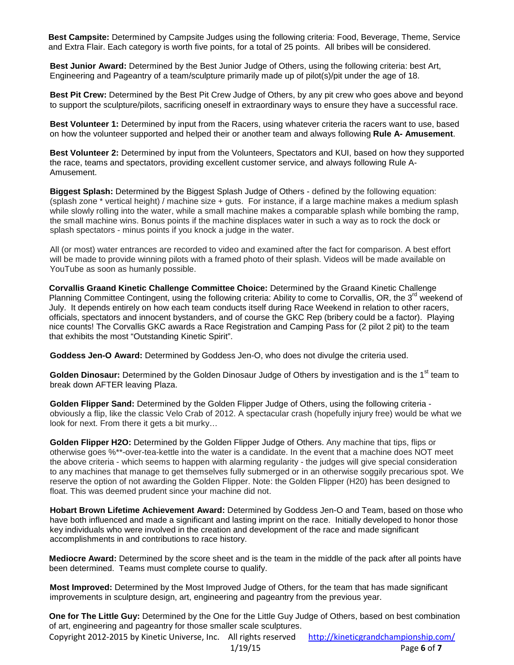**Best Campsite:** Determined by Campsite Judges using the following criteria: Food, Beverage, Theme, Service and Extra Flair. Each category is worth five points, for a total of 25 points. All bribes will be considered.

**Best Junior Award:** Determined by the Best Junior Judge of Others, using the following criteria: best Art, Engineering and Pageantry of a team/sculpture primarily made up of pilot(s)/pit under the age of 18.

**Best Pit Crew:** Determined by the Best Pit Crew Judge of Others, by any pit crew who goes above and beyond to support the sculpture/pilots, sacrificing oneself in extraordinary ways to ensure they have a successful race.

**Best Volunteer 1:** Determined by input from the Racers, using whatever criteria the racers want to use, based on how the volunteer supported and helped their or another team and always following **Rule A- Amusement**.

**Best Volunteer 2:** Determined by input from the Volunteers, Spectators and KUI, based on how they supported the race, teams and spectators, providing excellent customer service, and always following Rule A-Amusement.

**Biggest Splash:** Determined by the Biggest Splash Judge of Others - defined by the following equation: (splash zone \* vertical height) / machine size + guts. For instance, if a large machine makes a medium splash while slowly rolling into the water, while a small machine makes a comparable splash while bombing the ramp, the small machine wins. Bonus points if the machine displaces water in such a way as to rock the dock or splash spectators - minus points if you knock a judge in the water.

All (or most) water entrances are recorded to video and examined after the fact for comparison. A best effort will be made to provide winning pilots with a framed photo of their splash. Videos will be made available on YouTube as soon as humanly possible.

**Corvallis Graand Kinetic Challenge Committee Choice:** Determined by the Graand Kinetic Challenge Planning Committee Contingent, using the following criteria: Ability to come to Corvallis, OR, the 3<sup>rd</sup> weekend of July. It depends entirely on how each team conducts itself during Race Weekend in relation to other racers, officials, spectators and innocent bystanders, and of course the GKC Rep (bribery could be a factor). Playing nice counts! The Corvallis GKC awards a Race Registration and Camping Pass for (2 pilot 2 pit) to the team that exhibits the most "Outstanding Kinetic Spirit".

**Goddess Jen-O Award:** Determined by Goddess Jen-O, who does not divulge the criteria used.

Golden Dinosaur: Determined by the Golden Dinosaur Judge of Others by investigation and is the 1<sup>st</sup> team to break down AFTER leaving Plaza.

**Golden Flipper Sand:** Determined by the Golden Flipper Judge of Others, using the following criteria obviously a flip, like the classic Velo Crab of 2012. A spectacular crash (hopefully injury free) would be what we look for next. From there it gets a bit murky…

**Golden Flipper H2O:** Determined by the Golden Flipper Judge of Others. Any machine that tips, flips or otherwise goes %\*\*-over-tea-kettle into the water is a candidate. In the event that a machine does NOT meet the above criteria - which seems to happen with alarming regularity - the judges will give special consideration to any machines that manage to get themselves fully submerged or in an otherwise soggily precarious spot. We reserve the option of not awarding the Golden Flipper. Note: the Golden Flipper (H20) has been designed to float. This was deemed prudent since your machine did not.

**Hobart Brown Lifetime Achievement Award:** Determined by Goddess Jen-O and Team, based on those who have both influenced and made a significant and lasting imprint on the race. Initially developed to honor those key individuals who were involved in the creation and development of the race and made significant accomplishments in and contributions to race history.

**Mediocre Award:** Determined by the score sheet and is the team in the middle of the pack after all points have been determined. Teams must complete course to qualify.

**Most Improved:** Determined by the Most Improved Judge of Others, for the team that has made significant improvements in sculpture design, art, engineering and pageantry from the previous year.

**One for The Little Guy:** Determined by the One for the Little Guy Judge of Others, based on best combination of art, engineering and pageantry for those smaller scale sculptures.

Copyright 2012-2015 by Kinetic Universe, Inc. All rights reserved <http://kineticgrandchampionship.com/> 1/19/15 Page **6** of **7**